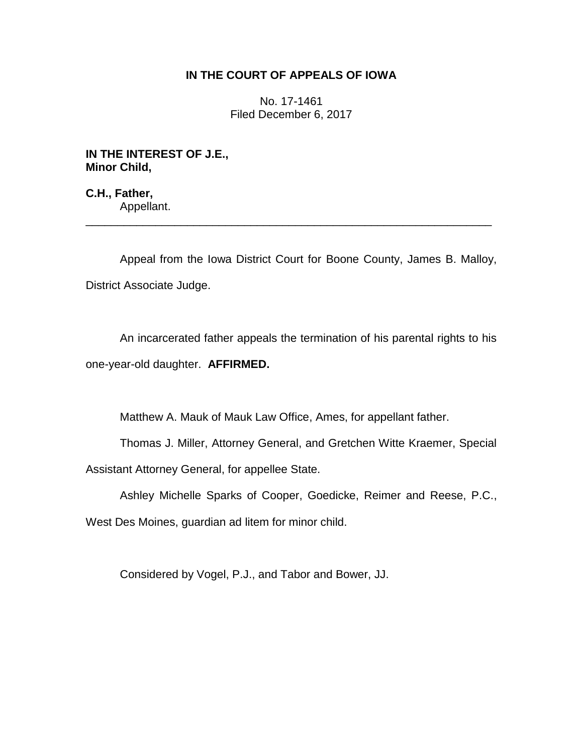## **IN THE COURT OF APPEALS OF IOWA**

No. 17-1461 Filed December 6, 2017

**IN THE INTEREST OF J.E., Minor Child,**

**C.H., Father,** Appellant. \_\_\_\_\_\_\_\_\_\_\_\_\_\_\_\_\_\_\_\_\_\_\_\_\_\_\_\_\_\_\_\_\_\_\_\_\_\_\_\_\_\_\_\_\_\_\_\_\_\_\_\_\_\_\_\_\_\_\_\_\_\_\_\_

Appeal from the Iowa District Court for Boone County, James B. Malloy, District Associate Judge.

An incarcerated father appeals the termination of his parental rights to his one-year-old daughter. **AFFIRMED.**

Matthew A. Mauk of Mauk Law Office, Ames, for appellant father.

Thomas J. Miller, Attorney General, and Gretchen Witte Kraemer, Special Assistant Attorney General, for appellee State.

Ashley Michelle Sparks of Cooper, Goedicke, Reimer and Reese, P.C.,

West Des Moines, guardian ad litem for minor child.

Considered by Vogel, P.J., and Tabor and Bower, JJ.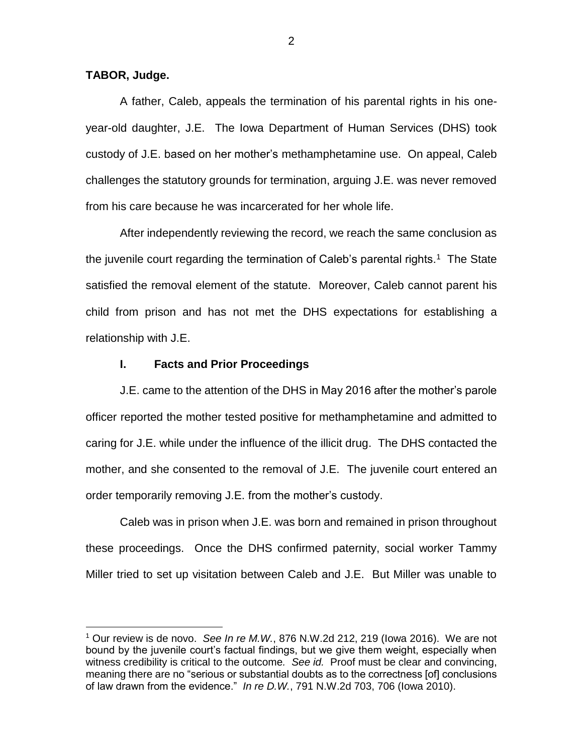**TABOR, Judge.**

 $\overline{a}$ 

A father, Caleb, appeals the termination of his parental rights in his oneyear-old daughter, J.E. The Iowa Department of Human Services (DHS) took custody of J.E. based on her mother's methamphetamine use. On appeal, Caleb challenges the statutory grounds for termination, arguing J.E. was never removed from his care because he was incarcerated for her whole life.

After independently reviewing the record, we reach the same conclusion as the juvenile court regarding the termination of Caleb's parental rights.<sup>1</sup> The State satisfied the removal element of the statute. Moreover, Caleb cannot parent his child from prison and has not met the DHS expectations for establishing a relationship with J.E.

## **I. Facts and Prior Proceedings**

J.E. came to the attention of the DHS in May 2016 after the mother's parole officer reported the mother tested positive for methamphetamine and admitted to caring for J.E. while under the influence of the illicit drug. The DHS contacted the mother, and she consented to the removal of J.E. The juvenile court entered an order temporarily removing J.E. from the mother's custody.

Caleb was in prison when J.E. was born and remained in prison throughout these proceedings. Once the DHS confirmed paternity, social worker Tammy Miller tried to set up visitation between Caleb and J.E. But Miller was unable to

<sup>1</sup> Our review is de novo. *See In re M.W.*, 876 N.W.2d 212, 219 (Iowa 2016). We are not bound by the juvenile court's factual findings, but we give them weight, especially when witness credibility is critical to the outcome*. See id.* Proof must be clear and convincing, meaning there are no "serious or substantial doubts as to the correctness [of] conclusions of law drawn from the evidence." *In re D.W.*, 791 N.W.2d 703, 706 (Iowa 2010).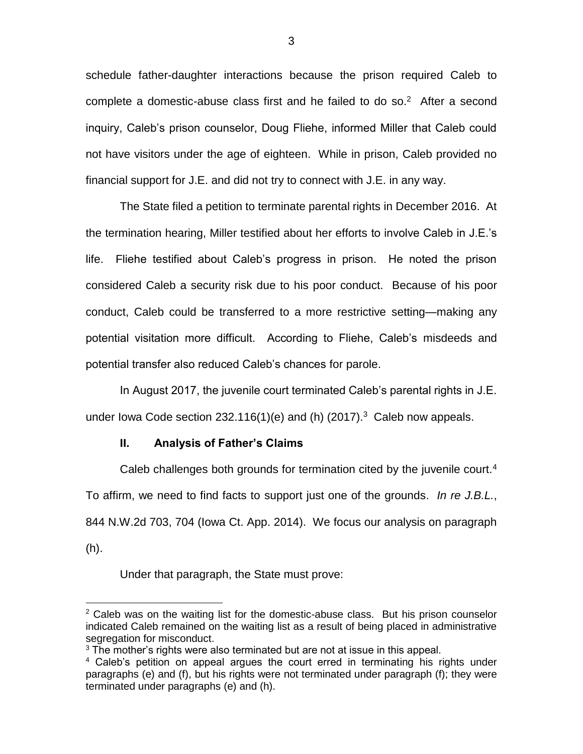schedule father-daughter interactions because the prison required Caleb to complete a domestic-abuse class first and he failed to do so. $2$  After a second inquiry, Caleb's prison counselor, Doug Fliehe, informed Miller that Caleb could not have visitors under the age of eighteen. While in prison, Caleb provided no financial support for J.E. and did not try to connect with J.E. in any way.

The State filed a petition to terminate parental rights in December 2016. At the termination hearing, Miller testified about her efforts to involve Caleb in J.E.'s life. Fliehe testified about Caleb's progress in prison. He noted the prison considered Caleb a security risk due to his poor conduct. Because of his poor conduct, Caleb could be transferred to a more restrictive setting—making any potential visitation more difficult. According to Fliehe, Caleb's misdeeds and potential transfer also reduced Caleb's chances for parole.

In August 2017, the juvenile court terminated Caleb's parental rights in J.E. under lowa Code section 232.116(1)(e) and (h) (2017). $3$  Caleb now appeals.

## **II. Analysis of Father's Claims**

Caleb challenges both grounds for termination cited by the juvenile court.<sup>4</sup> To affirm, we need to find facts to support just one of the grounds. *In re J.B.L.*, 844 N.W.2d 703, 704 (Iowa Ct. App. 2014). We focus our analysis on paragraph (h).

Under that paragraph, the State must prove:

 $\overline{a}$ 

 $2$  Caleb was on the waiting list for the domestic-abuse class. But his prison counselor indicated Caleb remained on the waiting list as a result of being placed in administrative segregation for misconduct.

 $3$  The mother's rights were also terminated but are not at issue in this appeal.

<sup>&</sup>lt;sup>4</sup> Caleb's petition on appeal argues the court erred in terminating his rights under paragraphs (e) and (f), but his rights were not terminated under paragraph (f); they were terminated under paragraphs (e) and (h).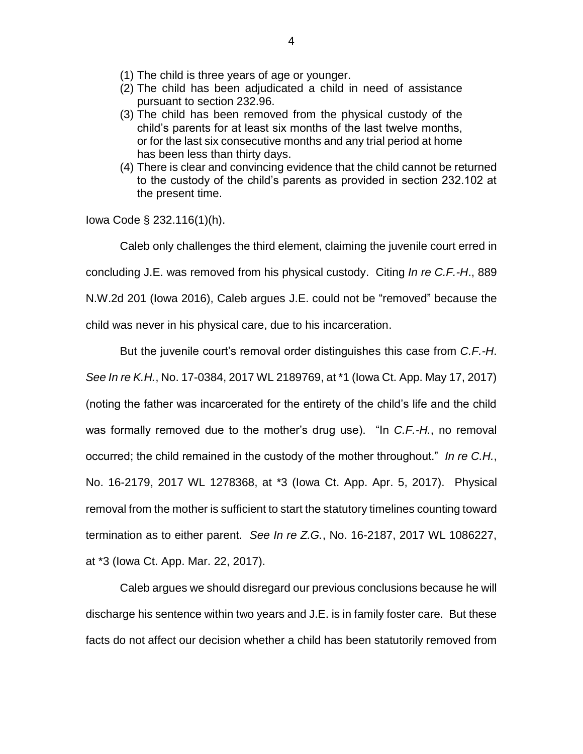- (1) The child is three years of age or younger.
- (2) The child has been adjudicated a child in need of assistance pursuant to section 232.96.
- (3) The child has been removed from the physical custody of the child's parents for at least six months of the last twelve months, or for the last six consecutive months and any trial period at home has been less than thirty days.
- (4) There is clear and convincing evidence that the child cannot be returned to the custody of the child's parents as provided in section 232.102 at the present time.

Iowa Code § 232.116(1)(h).

Caleb only challenges the third element, claiming the juvenile court erred in

concluding J.E. was removed from his physical custody. Citing *In re C.F.-H*., 889

N.W.2d 201 (Iowa 2016), Caleb argues J.E. could not be "removed" because the

child was never in his physical care, due to his incarceration.

But the juvenile court's removal order distinguishes this case from *C.F.-H*.

*See In re K.H.*, No. 17-0384, 2017 WL 2189769, at \*1 (Iowa Ct. App. May 17, 2017) (noting the father was incarcerated for the entirety of the child's life and the child was formally removed due to the mother's drug use). "In *C.F.-H.*, no removal occurred; the child remained in the custody of the mother throughout." *In re C.H.*, No. 16-2179, 2017 WL 1278368, at \*3 (Iowa Ct. App. Apr. 5, 2017). Physical removal from the mother is sufficient to start the statutory timelines counting toward termination as to either parent. *See In re Z.G.*, No. 16-2187, 2017 WL 1086227, at \*3 (Iowa Ct. App. Mar. 22, 2017).

Caleb argues we should disregard our previous conclusions because he will discharge his sentence within two years and J.E. is in family foster care. But these facts do not affect our decision whether a child has been statutorily removed from